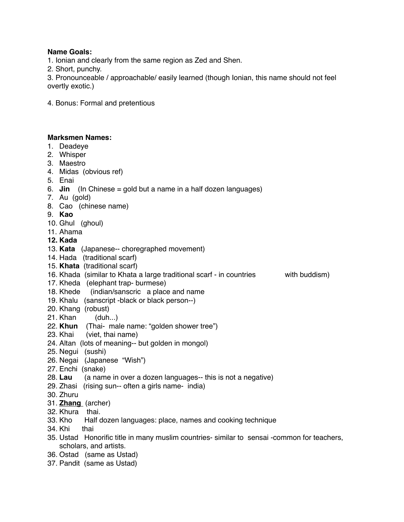# **Name Goals:**

1. Ionian and clearly from the same region as Zed and Shen.

2. Short, punchy.

3. Pronounceable / approachable/ easily learned (though Ionian, this name should not feel overtly exotic.)

4. Bonus: Formal and pretentious

# **Marksmen Names:**

- 1. Deadeye
- 2. Whisper
- 3. Maestro
- 4. Midas (obvious ref)
- 5. Enai
- 6. **Jin** (In Chinese = gold but a name in a half dozen languages)
- 7. Au (gold)
- 8. Cao (chinese name)
- 9. **Kao**
- 10. Ghul (ghoul)
- 11. Ahama
- **12. Kada**
- 13. **Kata** (Japanese-- choregraphed movement)
- 14. Hada (traditional scarf)
- 15. **Khata** (traditional scarf)
- 16. Khada (similar to Khata a large traditional scarf in countries with buddism)
- 17. Kheda (elephant trap- burmese)
- 18. Khede (indian/sanscric a place and name
- 19. Khalu (sanscript -black or black person--)
- 20. Khang (robust)
- 21. Khan (duh...)
- 22. **Khun** (Thai- male name: "golden shower tree")
- 23. Khai (viet, thai name)
- 24. Altan (lots of meaning-- but golden in mongol)
- 25. Negui (sushi)
- 26. Negai (Japanese "Wish")
- 27. Enchi (snake)
- 28. **Lau** (a name in over a dozen languages-- this is not a negative)
- 29. Zhasi (rising sun-- often a girls name- india)
- 30. Zhuru
- 31. **Zhang** (archer)
- 32. Khura thai.
- 33. Kho Half dozen languages: place, names and cooking technique
- 34. Khi thai
- 35. Ustad Honorific title in many muslim countries- similar to sensai -common for teachers, scholars, and artists.
- 36. Ostad (same as Ustad)
- 37. Pandit (same as Ustad)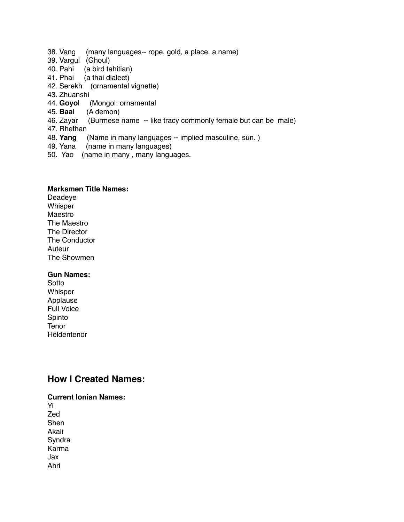- 38. Vang (many languages-- rope, gold, a place, a name)
- 39. Vargul (Ghoul)
- 40. Pahi (a bird tahitian)<br>41. Phai (a thai dialect)
- (a thai dialect)
- 42. Serekh (ornamental vignette)
- 43. Zhuanshi
- 44. **Goyo**l (Mongol: ornamental
- (A demon)
- 46. Zayar (Burmese name -- like tracy commonly female but can be male)
- 47. Rhethan
- 48. **Yang** (Name in many languages -- implied masculine, sun. )
- 49. Yana (name in many languages)
- 50. Yao (name in many , many languages.

## **Marksmen Title Names:**

Deadeye **Whisper** Maestro The Maestro The Director The Conductor Auteur The Showmen

### **Gun Names:**

Sotto Whisper Applause Full Voice Spinto **Tenor Heldentenor** 

# **How I Created Names:**

**Current Ionian Names:** Yi Zed **Shen** Akali **Syndra** Karma Jax Ahri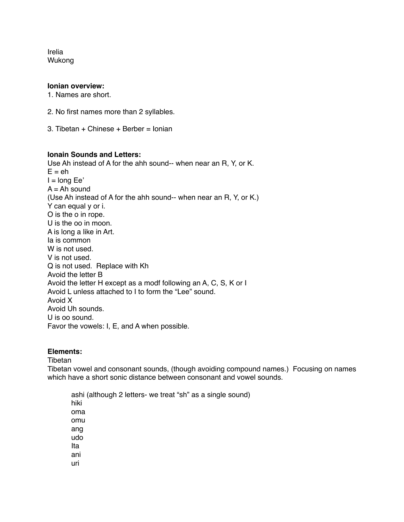Irelia Wukong

#### **Ionian overview:**

1. Names are short.

- 2. No first names more than 2 syllables.
- 3. Tibetan + Chinese + Berber = Ionian

#### **Ionain Sounds and Letters:**

Use Ah instead of A for the ahh sound-- when near an R, Y, or K.  $E = eh$  $I = long Ee'$  $A = Ah$  sound (Use Ah instead of A for the ahh sound-- when near an R, Y, or K.) Y can equal y or i. O is the o in rope. U is the oo in moon. A is long a like in Art. Ia is common W is not used. V is not used. Q is not used. Replace with Kh Avoid the letter B Avoid the letter H except as a modf following an A, C, S, K or I Avoid L unless attached to I to form the "Lee" sound. Avoid X Avoid Uh sounds. U is oo sound. Favor the vowels: I, E, and A when possible.

### **Elements:**

Tibetan

Tibetan vowel and consonant sounds, (though avoiding compound names.) Focusing on names which have a short sonic distance between consonant and vowel sounds.

ashi (although 2 letters- we treat "sh" as a single sound) hiki oma omu ang udo Ita ani uri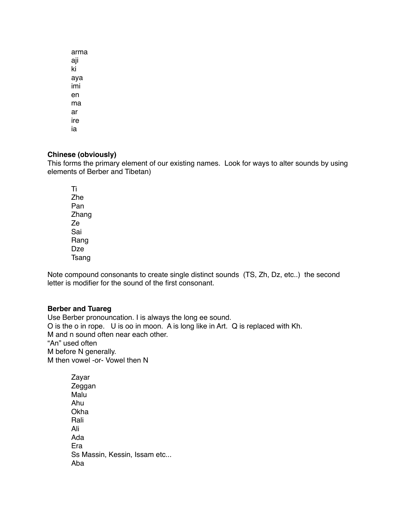arma aji ki aya imi en ma ar ire ia

# **Chinese (obviously)**

This forms the primary element of our existing names. Look for ways to alter sounds by using elements of Berber and Tibetan)

Ti Zhe Pan Zhang Ze Sai Rang Dze Tsang

Note compound consonants to create single distinct sounds (TS, Zh, Dz, etc..) the second letter is modifier for the sound of the first consonant.

# **Berber and Tuareg**

Use Berber pronouncation. I is always the long ee sound. O is the o in rope. U is oo in moon. A is long like in Art. Q is replaced with Kh. M and n sound often near each other. "An" used often M before N generally. M then vowel -or- Vowel then N

Zayar Zeggan Malu Ahu Okha Rali Ali Ada Era Ss Massin, Kessin, Issam etc... Aba